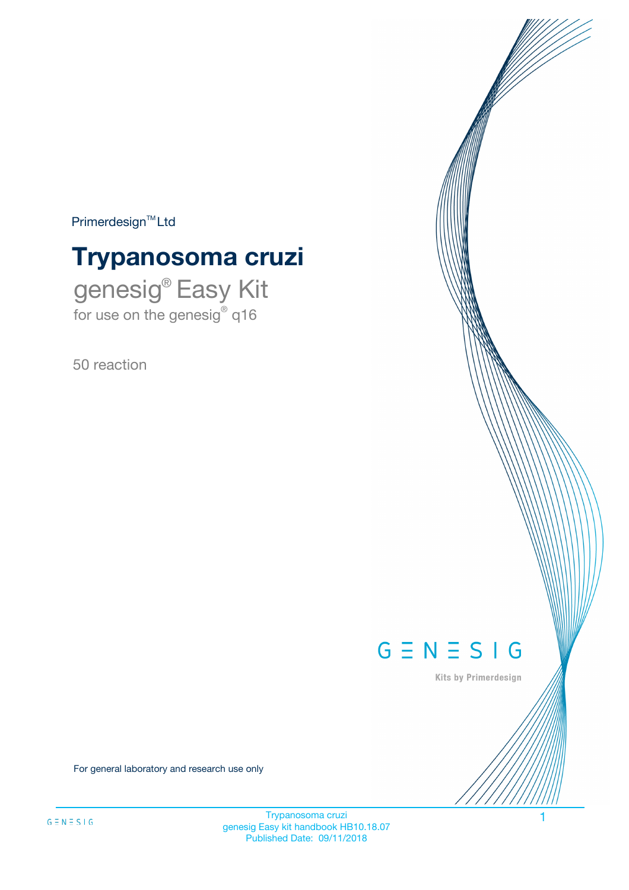$Primerdesign^{\text{TM}}Ltd$ 

# **Trypanosoma cruzi**

genesig® Easy Kit for use on the genesig® q16

50 reaction



Kits by Primerdesign

For general laboratory and research use only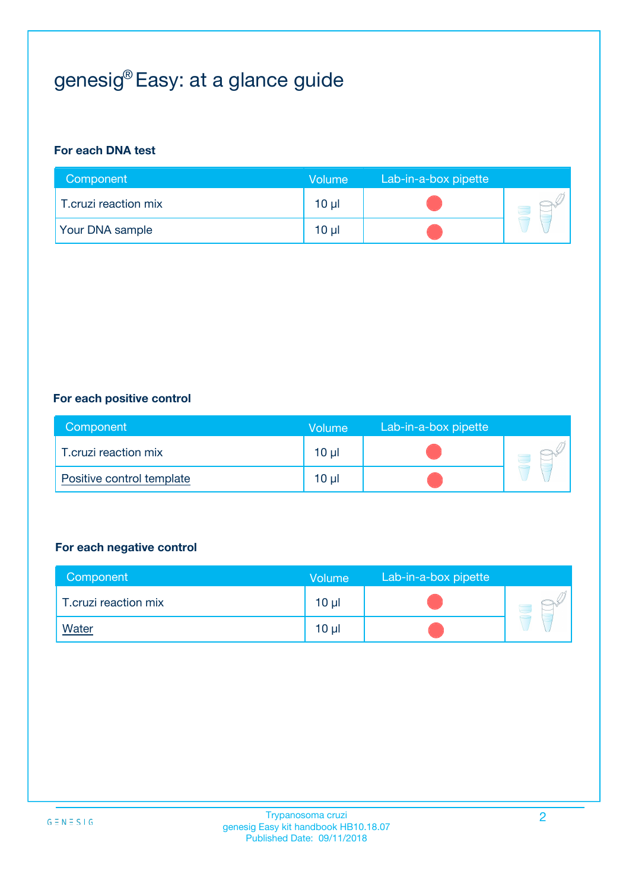# genesig® Easy: at a glance guide

#### **For each DNA test**

| Component            | <b>Volume</b>   | Lab-in-a-box pipette |  |
|----------------------|-----------------|----------------------|--|
| T.cruzi reaction mix | 10 µl           |                      |  |
| Your DNA sample      | 10 <sub>µ</sub> |                      |  |

#### **For each positive control**

| Component                 | Volume          | Lab-in-a-box pipette |  |
|---------------------------|-----------------|----------------------|--|
| T.cruzi reaction mix      | 10 <sub>µ</sub> |                      |  |
| Positive control template | 10 <sub>µ</sub> |                      |  |

#### **For each negative control**

| Component            | <b>Volume</b>   | Lab-in-a-box pipette |  |
|----------------------|-----------------|----------------------|--|
| T.cruzi reaction mix | 10 <sub>µ</sub> |                      |  |
| <u>Water</u>         | $10 \mu$        |                      |  |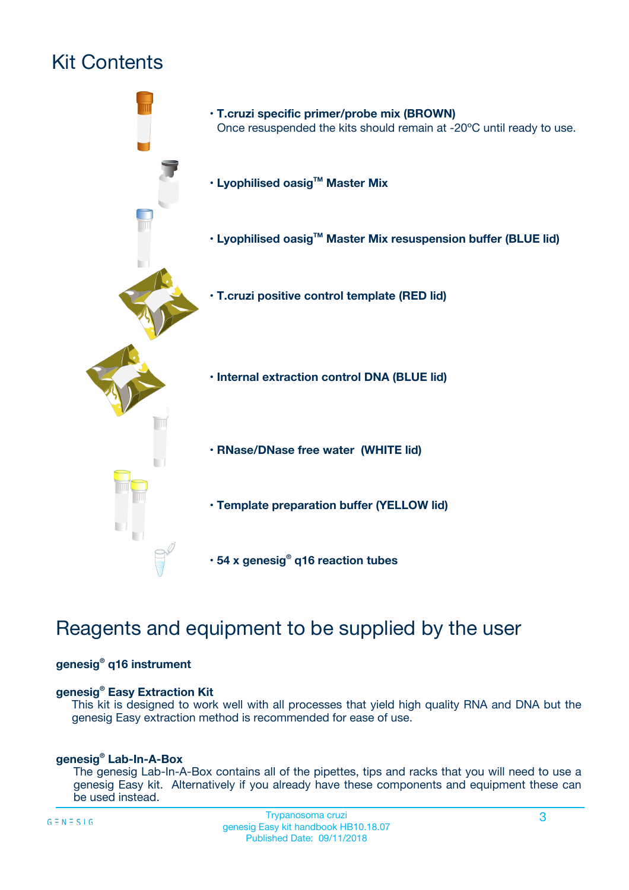## Kit Contents



## Reagents and equipment to be supplied by the user

#### **genesig® q16 instrument**

#### **genesig® Easy Extraction Kit**

This kit is designed to work well with all processes that yield high quality RNA and DNA but the genesig Easy extraction method is recommended for ease of use.

#### **genesig® Lab-In-A-Box**

The genesig Lab-In-A-Box contains all of the pipettes, tips and racks that you will need to use a genesig Easy kit. Alternatively if you already have these components and equipment these can be used instead.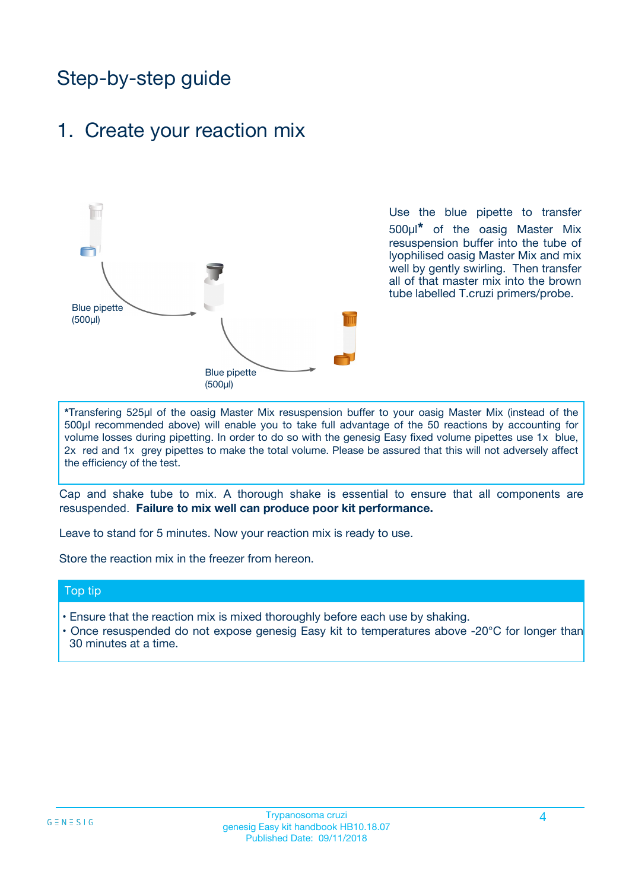## Step-by-step guide

### 1. Create your reaction mix



Use the blue pipette to transfer 500µl**\*** of the oasig Master Mix resuspension buffer into the tube of lyophilised oasig Master Mix and mix well by gently swirling. Then transfer all of that master mix into the brown tube labelled T.cruzi primers/probe.

**\***Transfering 525µl of the oasig Master Mix resuspension buffer to your oasig Master Mix (instead of the 500µl recommended above) will enable you to take full advantage of the 50 reactions by accounting for volume losses during pipetting. In order to do so with the genesig Easy fixed volume pipettes use 1x blue, 2x red and 1x grey pipettes to make the total volume. Please be assured that this will not adversely affect the efficiency of the test.

Cap and shake tube to mix. A thorough shake is essential to ensure that all components are resuspended. **Failure to mix well can produce poor kit performance.**

Leave to stand for 5 minutes. Now your reaction mix is ready to use.

Store the reaction mix in the freezer from hereon.

#### Top tip

- Ensure that the reaction mix is mixed thoroughly before each use by shaking.
- **•** Once resuspended do not expose genesig Easy kit to temperatures above -20°C for longer than 30 minutes at a time.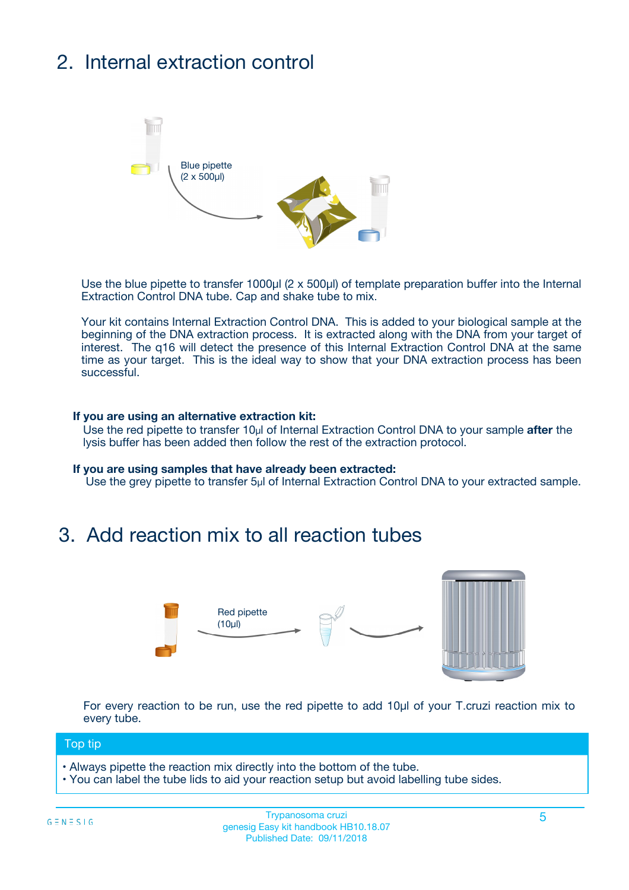# 2. Internal extraction control



Use the blue pipette to transfer 1000µl (2 x 500µl) of template preparation buffer into the Internal Extraction Control DNA tube. Cap and shake tube to mix.

Your kit contains Internal Extraction Control DNA. This is added to your biological sample at the beginning of the DNA extraction process. It is extracted along with the DNA from your target of interest. The q16 will detect the presence of this Internal Extraction Control DNA at the same time as your target. This is the ideal way to show that your DNA extraction process has been **successful.** 

#### **If you are using an alternative extraction kit:**

Use the red pipette to transfer 10µl of Internal Extraction Control DNA to your sample **after** the lysis buffer has been added then follow the rest of the extraction protocol.

#### **If you are using samples that have already been extracted:**

Use the grey pipette to transfer 5µl of Internal Extraction Control DNA to your extracted sample.

### 3. Add reaction mix to all reaction tubes



For every reaction to be run, use the red pipette to add 10µl of your T.cruzi reaction mix to every tube.

#### Top tip

- Always pipette the reaction mix directly into the bottom of the tube.
- You can label the tube lids to aid your reaction setup but avoid labelling tube sides.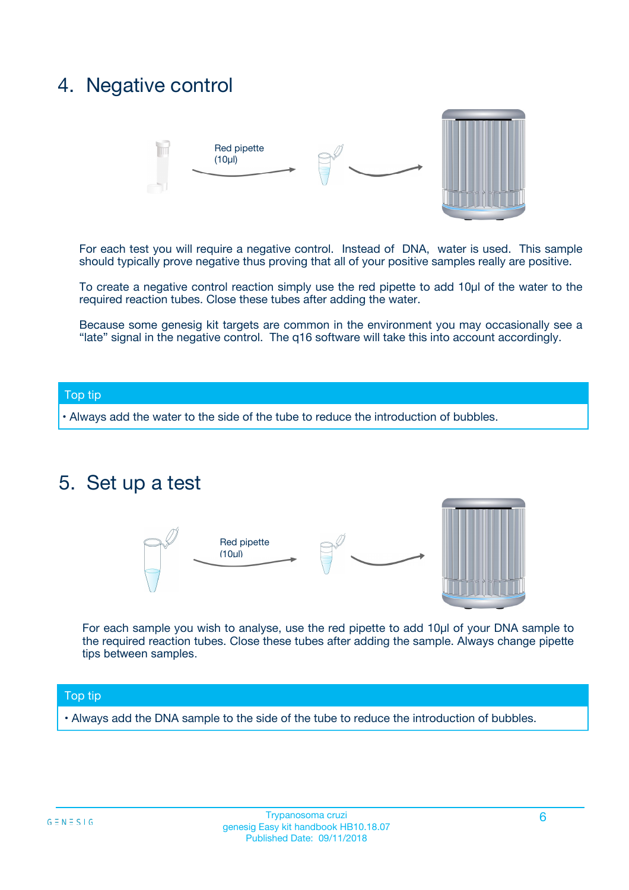### 4. Negative control



For each test you will require a negative control. Instead of DNA, water is used. This sample should typically prove negative thus proving that all of your positive samples really are positive.

To create a negative control reaction simply use the red pipette to add 10µl of the water to the required reaction tubes. Close these tubes after adding the water.

Because some genesig kit targets are common in the environment you may occasionally see a "late" signal in the negative control. The q16 software will take this into account accordingly.

#### Top tip

**•** Always add the water to the side of the tube to reduce the introduction of bubbles.

### 5. Set up a test



For each sample you wish to analyse, use the red pipette to add 10µl of your DNA sample to the required reaction tubes. Close these tubes after adding the sample. Always change pipette tips between samples.

#### Top tip

**•** Always add the DNA sample to the side of the tube to reduce the introduction of bubbles.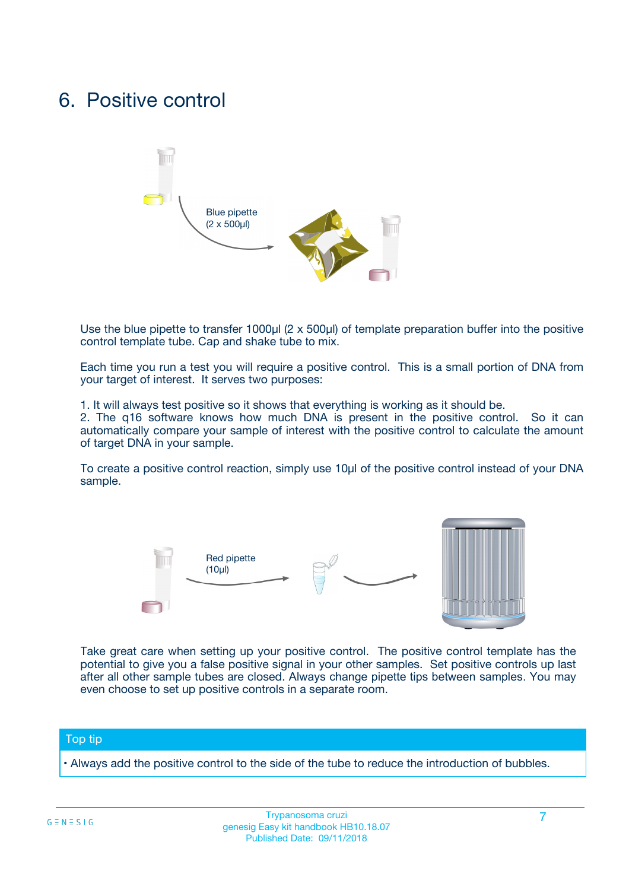### 6. Positive control



Use the blue pipette to transfer 1000µl (2 x 500µl) of template preparation buffer into the positive control template tube. Cap and shake tube to mix.

Each time you run a test you will require a positive control. This is a small portion of DNA from your target of interest. It serves two purposes:

1. It will always test positive so it shows that everything is working as it should be.

2. The q16 software knows how much DNA is present in the positive control. So it can automatically compare your sample of interest with the positive control to calculate the amount of target DNA in your sample.

To create a positive control reaction, simply use 10µl of the positive control instead of your DNA sample.



Take great care when setting up your positive control. The positive control template has the potential to give you a false positive signal in your other samples. Set positive controls up last after all other sample tubes are closed. Always change pipette tips between samples. You may even choose to set up positive controls in a separate room.

#### Top tip

**•** Always add the positive control to the side of the tube to reduce the introduction of bubbles.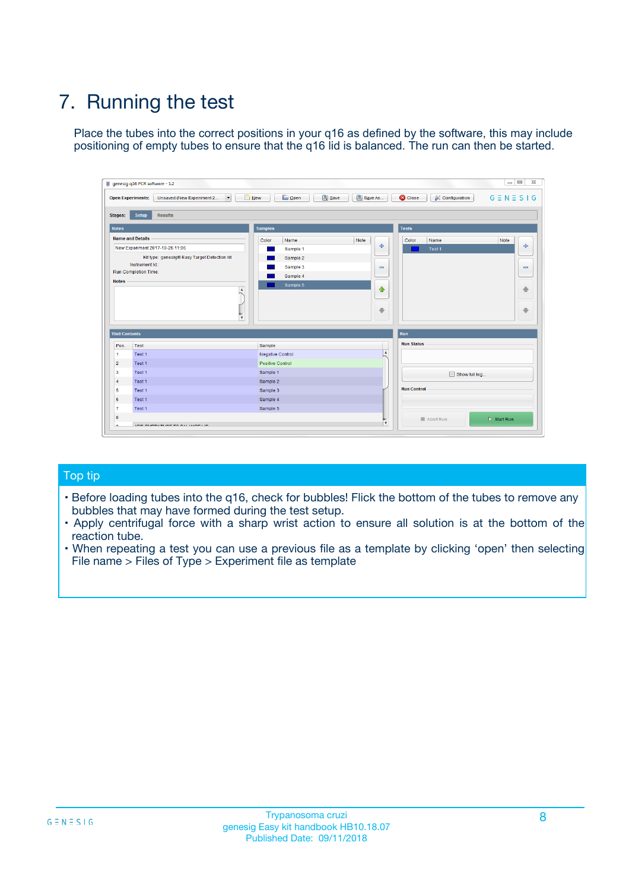# 7. Running the test

Place the tubes into the correct positions in your q16 as defined by the software, this may include positioning of empty tubes to ensure that the q16 lid is balanced. The run can then be started.

| genesig q16 PCR software - 1.2                                               |                                     | $\Box$                                                                                  |
|------------------------------------------------------------------------------|-------------------------------------|-----------------------------------------------------------------------------------------|
| Unsaved (New Experiment 2<br>$\vert \cdot \vert$<br><b>Open Experiments:</b> | <b>D</b> Open<br>Save<br>$\Box$ New | Save As<br><b>C</b> Close<br>$G \equiv N \equiv S \mid G$<br><b>&amp; Configuration</b> |
| Setup<br><b>Results</b><br><b>Stages:</b>                                    |                                     |                                                                                         |
| <b>Notes</b>                                                                 | Samples                             | <b>Tests</b>                                                                            |
| <b>Name and Details</b>                                                      | Color<br>Name                       | Note<br>Color<br>Note<br>Name                                                           |
| New Experiment 2017-10-26 11:06                                              | Sample 1                            | 条<br>علي<br>Test 1                                                                      |
| Kit type: genesig® Easy Target Detection kit                                 | Sample 2                            |                                                                                         |
| Instrument Id.:                                                              | Sample 3                            | $\qquad \qquad \blacksquare$<br>$\qquad \qquad \blacksquare$                            |
| Run Completion Time:                                                         | Sample 4                            |                                                                                         |
| <b>Notes</b>                                                                 | Sample 5<br>A<br>v                  | $\triangle$<br>4<br>$\oplus$<br>₩                                                       |
| <b>Well Contents</b>                                                         |                                     | <b>Run</b>                                                                              |
| Pos.<br>Test                                                                 | Sample                              | <b>Run Status</b>                                                                       |
| Test 1<br>-1                                                                 | <b>Negative Control</b>             | $\blacktriangle$                                                                        |
| $\overline{2}$<br>Test 1                                                     | <b>Positive Control</b>             |                                                                                         |
| $\overline{\mathbf{3}}$<br>Test 1                                            | Sample 1                            | Show full log                                                                           |
| Test 1<br>$\overline{4}$                                                     | Sample 2                            |                                                                                         |
| 5<br>Test 1                                                                  | Sample 3                            | <b>Run Control</b>                                                                      |
| 6<br>Test 1                                                                  | Sample 4                            |                                                                                         |
| $\overline{7}$<br>Test 1                                                     | Sample 5                            |                                                                                         |
| 8                                                                            |                                     | $\triangleright$ Start Run<br>Abort Run                                                 |
| <b>JOD FURTY TUDE TO BUILDED IN</b>                                          |                                     | $\overline{\mathbf{v}}$                                                                 |

#### Top tip

- Before loading tubes into the q16, check for bubbles! Flick the bottom of the tubes to remove any bubbles that may have formed during the test setup.
- Apply centrifugal force with a sharp wrist action to ensure all solution is at the bottom of the reaction tube.
- When repeating a test you can use a previous file as a template by clicking 'open' then selecting File name > Files of Type > Experiment file as template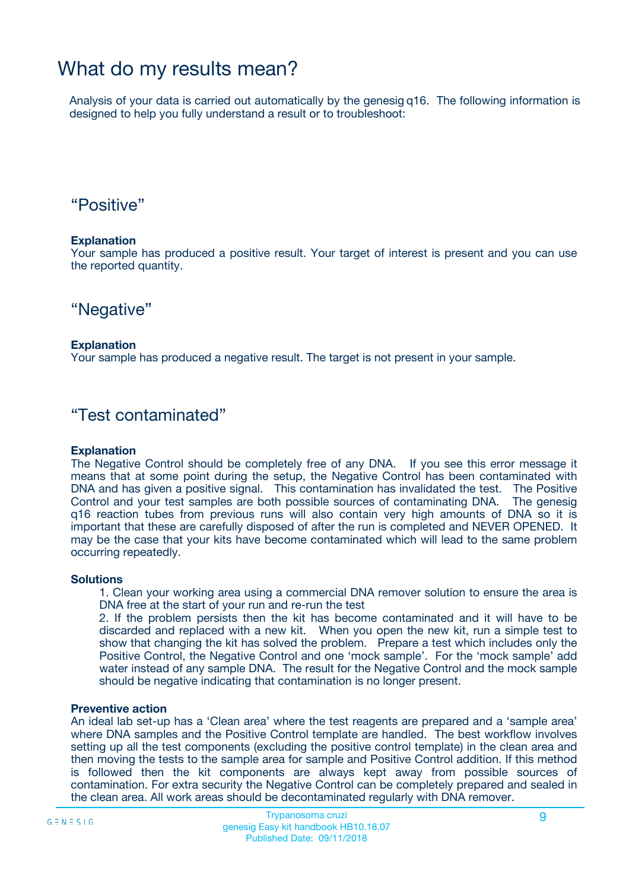### What do my results mean?

Analysis of your data is carried out automatically by the genesig q16. The following information is designed to help you fully understand a result or to troubleshoot:

### "Positive"

#### **Explanation**

Your sample has produced a positive result. Your target of interest is present and you can use the reported quantity.

"Negative"

#### **Explanation**

Your sample has produced a negative result. The target is not present in your sample.

### "Test contaminated"

#### **Explanation**

The Negative Control should be completely free of any DNA. If you see this error message it means that at some point during the setup, the Negative Control has been contaminated with DNA and has given a positive signal. This contamination has invalidated the test. The Positive Control and your test samples are both possible sources of contaminating DNA. The genesig q16 reaction tubes from previous runs will also contain very high amounts of DNA so it is important that these are carefully disposed of after the run is completed and NEVER OPENED. It may be the case that your kits have become contaminated which will lead to the same problem occurring repeatedly.

#### **Solutions**

1. Clean your working area using a commercial DNA remover solution to ensure the area is DNA free at the start of your run and re-run the test

2. If the problem persists then the kit has become contaminated and it will have to be discarded and replaced with a new kit. When you open the new kit, run a simple test to show that changing the kit has solved the problem. Prepare a test which includes only the Positive Control, the Negative Control and one 'mock sample'. For the 'mock sample' add water instead of any sample DNA. The result for the Negative Control and the mock sample should be negative indicating that contamination is no longer present.

#### **Preventive action**

An ideal lab set-up has a 'Clean area' where the test reagents are prepared and a 'sample area' where DNA samples and the Positive Control template are handled. The best workflow involves setting up all the test components (excluding the positive control template) in the clean area and then moving the tests to the sample area for sample and Positive Control addition. If this method is followed then the kit components are always kept away from possible sources of contamination. For extra security the Negative Control can be completely prepared and sealed in the clean area. All work areas should be decontaminated regularly with DNA remover.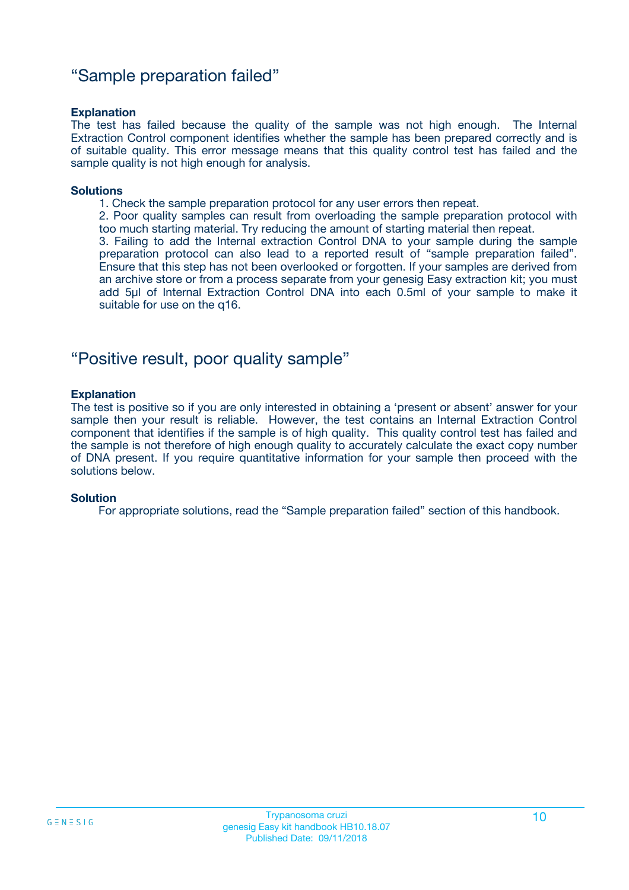### "Sample preparation failed"

#### **Explanation**

The test has failed because the quality of the sample was not high enough. The Internal Extraction Control component identifies whether the sample has been prepared correctly and is of suitable quality. This error message means that this quality control test has failed and the sample quality is not high enough for analysis.

#### **Solutions**

1. Check the sample preparation protocol for any user errors then repeat.

2. Poor quality samples can result from overloading the sample preparation protocol with too much starting material. Try reducing the amount of starting material then repeat.

3. Failing to add the Internal extraction Control DNA to your sample during the sample preparation protocol can also lead to a reported result of "sample preparation failed". Ensure that this step has not been overlooked or forgotten. If your samples are derived from an archive store or from a process separate from your genesig Easy extraction kit; you must add 5µl of Internal Extraction Control DNA into each 0.5ml of your sample to make it suitable for use on the q16.

### "Positive result, poor quality sample"

#### **Explanation**

The test is positive so if you are only interested in obtaining a 'present or absent' answer for your sample then your result is reliable. However, the test contains an Internal Extraction Control component that identifies if the sample is of high quality. This quality control test has failed and the sample is not therefore of high enough quality to accurately calculate the exact copy number of DNA present. If you require quantitative information for your sample then proceed with the solutions below.

#### **Solution**

For appropriate solutions, read the "Sample preparation failed" section of this handbook.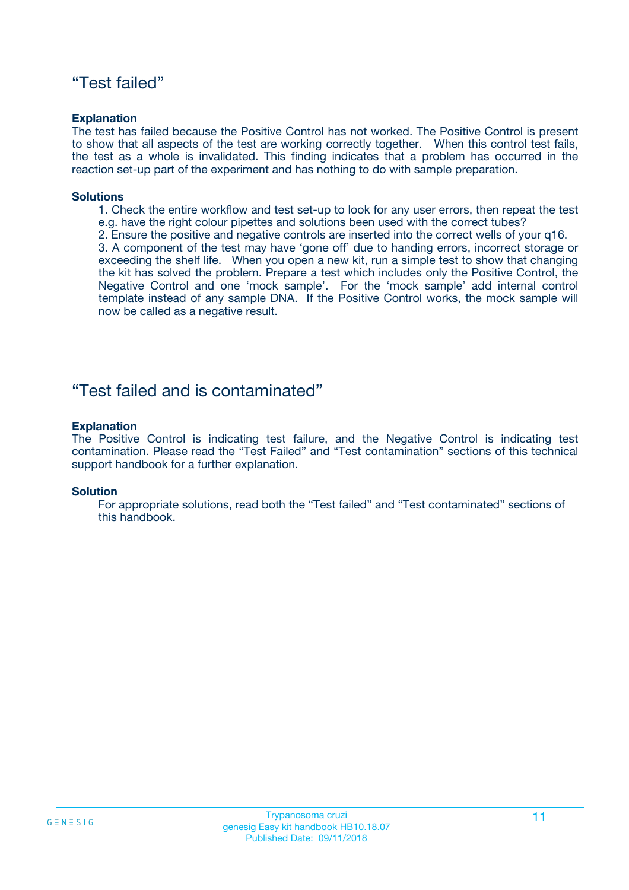### "Test failed"

#### **Explanation**

The test has failed because the Positive Control has not worked. The Positive Control is present to show that all aspects of the test are working correctly together. When this control test fails, the test as a whole is invalidated. This finding indicates that a problem has occurred in the reaction set-up part of the experiment and has nothing to do with sample preparation.

#### **Solutions**

- 1. Check the entire workflow and test set-up to look for any user errors, then repeat the test e.g. have the right colour pipettes and solutions been used with the correct tubes?
- 2. Ensure the positive and negative controls are inserted into the correct wells of your q16.

3. A component of the test may have 'gone off' due to handing errors, incorrect storage or exceeding the shelf life. When you open a new kit, run a simple test to show that changing the kit has solved the problem. Prepare a test which includes only the Positive Control, the Negative Control and one 'mock sample'. For the 'mock sample' add internal control template instead of any sample DNA. If the Positive Control works, the mock sample will now be called as a negative result.

### "Test failed and is contaminated"

#### **Explanation**

The Positive Control is indicating test failure, and the Negative Control is indicating test contamination. Please read the "Test Failed" and "Test contamination" sections of this technical support handbook for a further explanation.

#### **Solution**

For appropriate solutions, read both the "Test failed" and "Test contaminated" sections of this handbook.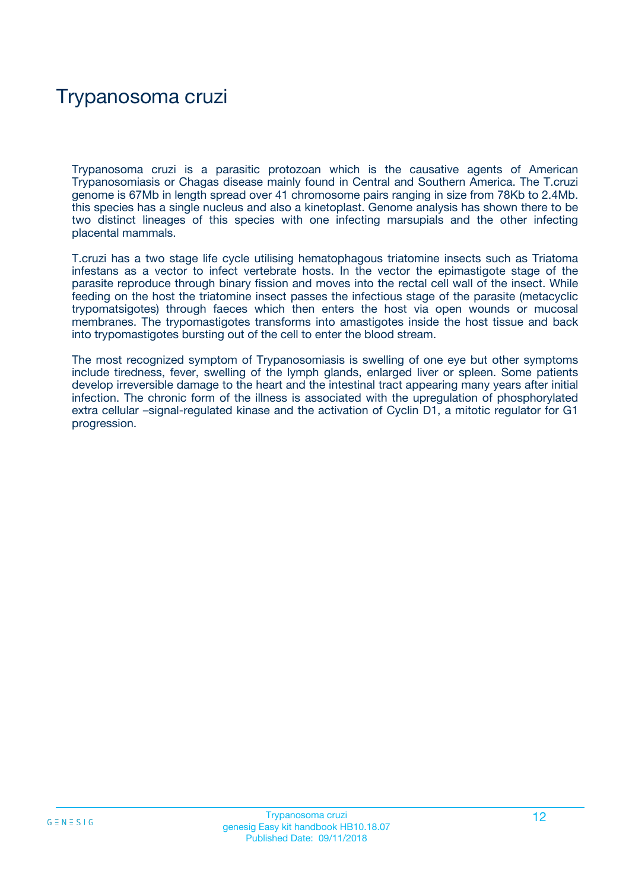## Trypanosoma cruzi

Trypanosoma cruzi is a parasitic protozoan which is the causative agents of American Trypanosomiasis or Chagas disease mainly found in Central and Southern America. The T.cruzi genome is 67Mb in length spread over 41 chromosome pairs ranging in size from 78Kb to 2.4Mb. this species has a single nucleus and also a kinetoplast. Genome analysis has shown there to be two distinct lineages of this species with one infecting marsupials and the other infecting placental mammals.

T.cruzi has a two stage life cycle utilising hematophagous triatomine insects such as Triatoma infestans as a vector to infect vertebrate hosts. In the vector the epimastigote stage of the parasite reproduce through binary fission and moves into the rectal cell wall of the insect. While feeding on the host the triatomine insect passes the infectious stage of the parasite (metacyclic trypomatsigotes) through faeces which then enters the host via open wounds or mucosal membranes. The trypomastigotes transforms into amastigotes inside the host tissue and back into trypomastigotes bursting out of the cell to enter the blood stream.

The most recognized symptom of Trypanosomiasis is swelling of one eye but other symptoms include tiredness, fever, swelling of the lymph glands, enlarged liver or spleen. Some patients develop irreversible damage to the heart and the intestinal tract appearing many years after initial infection. The chronic form of the illness is associated with the upregulation of phosphorylated extra cellular –signal-regulated kinase and the activation of Cyclin D1, a mitotic regulator for G1 progression.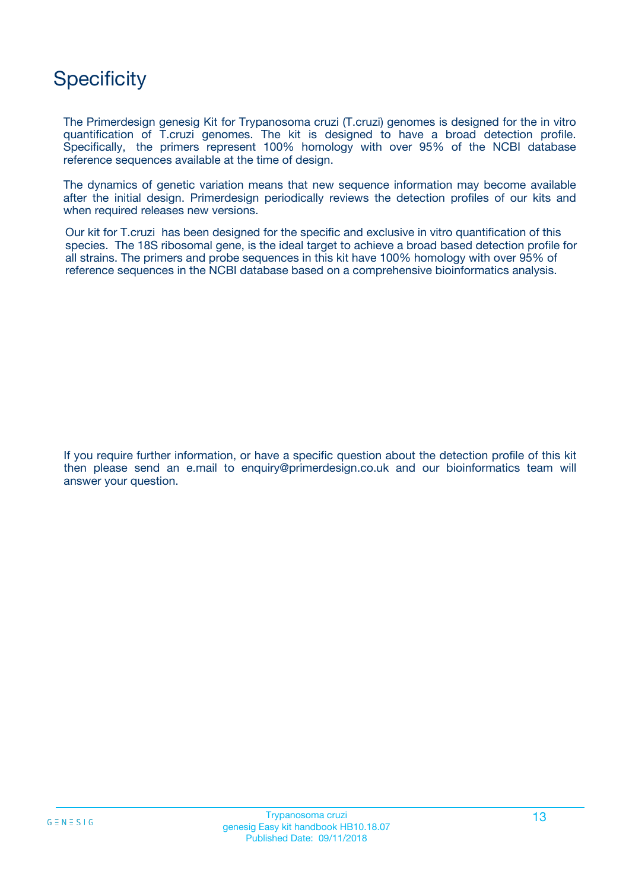## **Specificity**

The Primerdesign genesig Kit for Trypanosoma cruzi (T.cruzi) genomes is designed for the in vitro quantification of T.cruzi genomes. The kit is designed to have a broad detection profile. Specifically, the primers represent 100% homology with over 95% of the NCBI database reference sequences available at the time of design.

The dynamics of genetic variation means that new sequence information may become available after the initial design. Primerdesign periodically reviews the detection profiles of our kits and when required releases new versions.

Our kit for T.cruzi has been designed for the specific and exclusive in vitro quantification of this species. The 18S ribosomal gene, is the ideal target to achieve a broad based detection profile for all strains. The primers and probe sequences in this kit have 100% homology with over 95% of reference sequences in the NCBI database based on a comprehensive bioinformatics analysis.

If you require further information, or have a specific question about the detection profile of this kit then please send an e.mail to enquiry@primerdesign.co.uk and our bioinformatics team will answer your question.